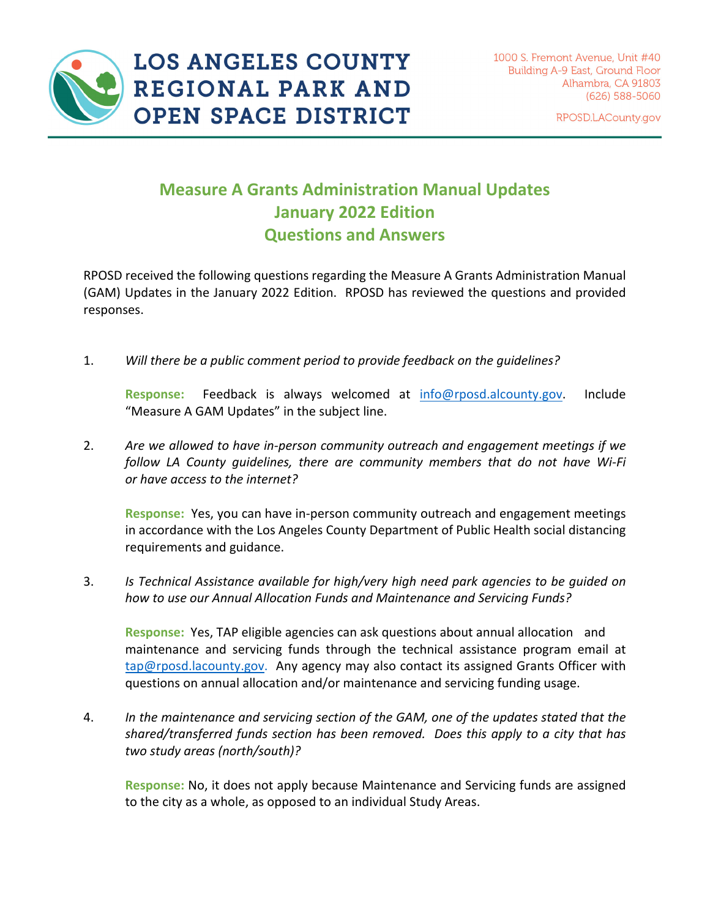

**LOS ANGELES COUNTY** REGIONAL PARK AND **OPEN SPACE DISTRICT** 

1000 S. Fremont Avenue, Unit #40 **Building A-9 East, Ground Floor** Alhambra, CA 91803 (626) 588-5060

RPOSD.LACounty.gov

## **Measure A Grants Administration Manual Updates January 2022 Edition Questions and Answers**

RPOSD received the following questions regarding the Measure A Grants Administration Manual (GAM) Updates in the January 2022 Edition. RPOSD has reviewed the questions and provided responses.

1. *Will there be a public comment period to provide feedback on the guidelines?*

**Response:** Feedback is always welcomed at info@rposd.alcounty.gov. Include "Measure A GAM Updates" in the subject line.

2. *Are we allowed to have in‐person community outreach and engagement meetings if we follow LA County guidelines, there are community members that do not have Wi‐Fi or have access to the internet?*

**Response:** Yes, you can have in‐person community outreach and engagement meetings in accordance with the Los Angeles County Department of Public Health social distancing requirements and guidance.

3. *Is Technical Assistance available for high/very high need park agencies to be guided on how to use our Annual Allocation Funds and Maintenance and Servicing Funds?*

**Response:** Yes, TAP eligible agencies can ask questions about annual allocation and maintenance and servicing funds through the technical assistance program email at tap@rposd.lacounty.gov. Any agency may also contact its assigned Grants Officer with questions on annual allocation and/or maintenance and servicing funding usage.

4. *In the maintenance and servicing section of the GAM, one of the updates stated that the shared/transferred funds section has been removed. Does this apply to a city that has two study areas (north/south)?*

**Response:** No, it does not apply because Maintenance and Servicing funds are assigned to the city as a whole, as opposed to an individual Study Areas.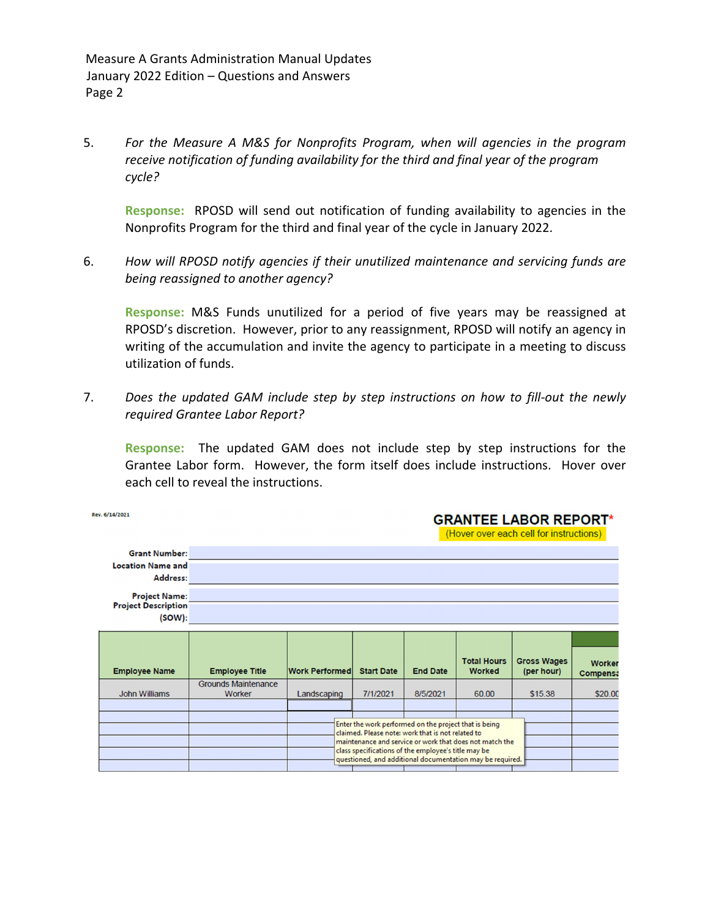Measure A Grants Administration Manual Updates January 2022 Edition – Questions and Answers Page 2

5. *For the Measure A M&S for Nonprofits Program, when will agencies in the program receive notification of funding availability for the third and final year of the program cycle?*

**Response:** RPOSD will send out notification of funding availability to agencies in the Nonprofits Program for the third and final year of the cycle in January 2022.

6. *How will RPOSD notify agencies if their unutilized maintenance and servicing funds are being reassigned to another agency?*

**Response:** M&S Funds unutilized for a period of five years may be reassigned at RPOSD's discretion. However, prior to any reassignment, RPOSD will notify an agency in writing of the accumulation and invite the agency to participate in a meeting to discuss utilization of funds.

7. *Does the updated GAM include step by step instructions on how to fill‐out the newly required Grantee Labor Report?*

 **Response:** The updated GAM does not include step by step instructions for the Grantee Labor form. However, the form itself does include instructions. Hover over each cell to reveal the instructions.

| Rev. 6/14/2021                                               |  |                                      | <b>GRANTEE LABOR REPORT*</b><br>(Hover over each cell for instructions)                                                                                                                                                                                                                   |                   |                 |                                     |                                  |                           |
|--------------------------------------------------------------|--|--------------------------------------|-------------------------------------------------------------------------------------------------------------------------------------------------------------------------------------------------------------------------------------------------------------------------------------------|-------------------|-----------------|-------------------------------------|----------------------------------|---------------------------|
| <b>Grant Number:</b><br><b>Location Name and</b><br>Address: |  |                                      |                                                                                                                                                                                                                                                                                           |                   |                 |                                     |                                  |                           |
|                                                              |  |                                      |                                                                                                                                                                                                                                                                                           |                   |                 |                                     |                                  |                           |
|                                                              |  |                                      |                                                                                                                                                                                                                                                                                           |                   |                 |                                     |                                  |                           |
| <b>Project Name:</b><br><b>Project Description</b><br>(SOW): |  |                                      |                                                                                                                                                                                                                                                                                           |                   |                 |                                     |                                  |                           |
|                                                              |  |                                      |                                                                                                                                                                                                                                                                                           |                   |                 |                                     |                                  |                           |
|                                                              |  |                                      |                                                                                                                                                                                                                                                                                           |                   |                 |                                     |                                  |                           |
|                                                              |  |                                      |                                                                                                                                                                                                                                                                                           |                   |                 |                                     |                                  |                           |
| <b>Employee Name</b>                                         |  | <b>Employee Title</b>                | <b>Work Performed</b>                                                                                                                                                                                                                                                                     | <b>Start Date</b> | <b>End Date</b> | <b>Total Hours</b><br><b>Worked</b> | <b>Gross Wages</b><br>(per hour) | <b>Worker</b><br>Compensa |
| <b>John Williams</b>                                         |  | <b>Grounds Maintenance</b><br>Worker | Landscaping                                                                                                                                                                                                                                                                               | 7/1/2021          | 8/5/2021        | 60.00                               | \$15.38                          | \$20.00                   |
|                                                              |  |                                      |                                                                                                                                                                                                                                                                                           |                   |                 |                                     |                                  |                           |
|                                                              |  |                                      | Enter the work performed on the project that is being<br>claimed. Please note: work that is not related to<br>maintenance and service or work that does not match the<br>class specifications of the employee's title may be<br>questioned, and additional documentation may be required. |                   |                 |                                     |                                  |                           |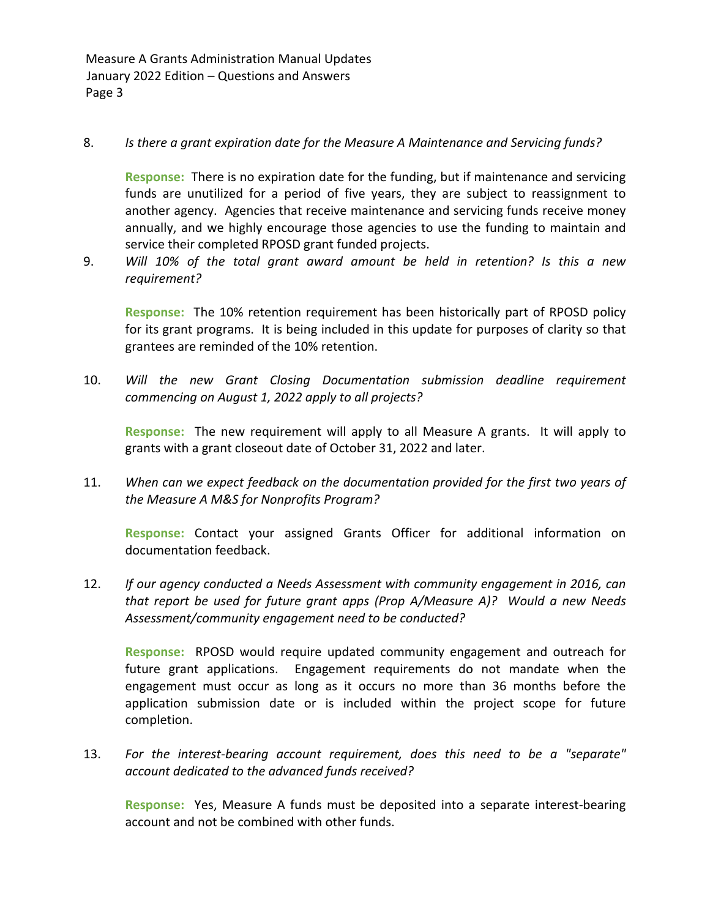Measure A Grants Administration Manual Updates January 2022 Edition – Questions and Answers Page 3

## 8. *Is there a grant expiration date for the Measure A Maintenance and Servicing funds?*

**Response:** There is no expiration date for the funding, but if maintenance and servicing funds are unutilized for a period of five years, they are subject to reassignment to another agency. Agencies that receive maintenance and servicing funds receive money annually, and we highly encourage those agencies to use the funding to maintain and service their completed RPOSD grant funded projects.

9. *Will 10% of the total grant award amount be held in retention? Is this a new requirement?*

**Response:** The 10% retention requirement has been historically part of RPOSD policy for its grant programs. It is being included in this update for purposes of clarity so that grantees are reminded of the 10% retention.

10. *Will the new Grant Closing Documentation submission deadline requirement commencing on August 1, 2022 apply to all projects?*

**Response:** The new requirement will apply to all Measure A grants. It will apply to grants with a grant closeout date of October 31, 2022 and later.

11. *When can we expect feedback on the documentation provided for the first two years of the Measure A M&S for Nonprofits Program?*

**Response:** Contact your assigned Grants Officer for additional information on documentation feedback.

12. *If our agency conducted a Needs Assessment with community engagement in 2016, can that report be used for future grant apps (Prop A/Measure A)? Would a new Needs Assessment/community engagement need to be conducted?*

**Response:** RPOSD would require updated community engagement and outreach for future grant applications. Engagement requirements do not mandate when the engagement must occur as long as it occurs no more than 36 months before the application submission date or is included within the project scope for future completion.

13. *For the interest‐bearing account requirement, does this need to be a "separate" account dedicated to the advanced funds received?*

**Response:** Yes, Measure A funds must be deposited into a separate interest-bearing account and not be combined with other funds.